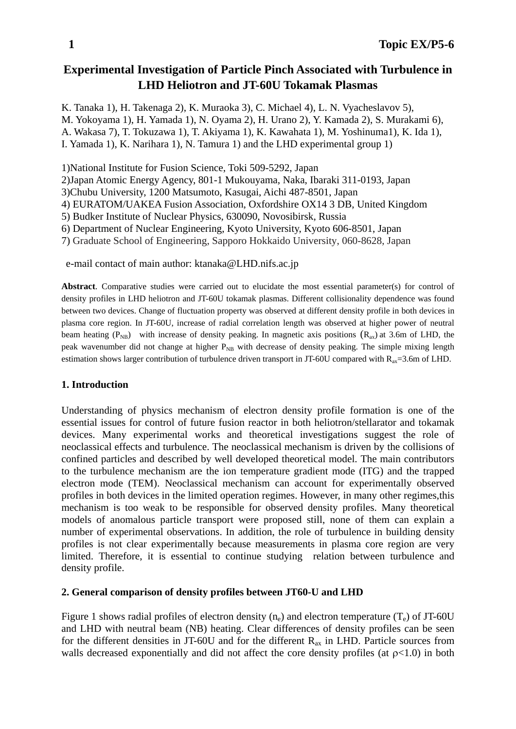# **Experimental Investigation of Particle Pinch Associated with Turbulence in LHD Heliotron and JT-60U Tokamak Plasmas**

K. Tanaka 1), H. Takenaga 2), K. Muraoka 3), C. Michael 4), L. N. Vyacheslavov 5), M. Yokoyama 1), H. Yamada 1), N. Oyama 2), H. Urano 2), Y. Kamada 2), S. Murakami 6), A. Wakasa 7), T. Tokuzawa 1), T. Akiyama 1), K. Kawahata 1), M. Yoshinuma1), K. Ida 1), I. Yamada 1), K. Narihara 1), N. Tamura 1) and the LHD experimental group 1)

1)National Institute for Fusion Science, Toki 509-5292, Japan

2)Japan Atomic Energy Agency, 801-1 Mukouyama, Naka, Ibaraki 311-0193, Japan

3)Chubu University, 1200 Matsumoto, Kasugai, Aichi 487-8501, Japan

4) EURATOM/UAKEA Fusion Association, Oxfordshire OX14 3 DB, United Kingdom

5) Budker Institute of Nuclear Physics, 630090, Novosibirsk, Russia

6) Department of Nuclear Engineering, Kyoto University, Kyoto 606-8501, Japan

7) Graduate School of Engineering, Sapporo Hokkaido University, 060-8628, Japan

e-mail contact of main author: ktanaka@LHD.nifs.ac.jp

**Abstract**. Comparative studies were carried out to elucidate the most essential parameter(s) for control of density profiles in LHD heliotron and JT-60U tokamak plasmas. Different collisionality dependence was found between two devices. Change of fluctuation property was observed at different density profile in both devices in plasma core region. In JT-60U, increase of radial correlation length was observed at higher power of neutral beam heating ( $P_{NB}$ ) with increase of density peaking. In magnetic axis positions ( $R_{ax}$ ) at 3.6m of LHD, the peak wavenumber did not change at higher  $P_{NB}$  with decrease of density peaking. The simple mixing length estimation shows larger contribution of turbulence driven transport in JT-60U compared with  $R_{ax}=3.6$ m of LHD.

# **1. Introduction**

Understanding of physics mechanism of electron density profile formation is one of the essential issues for control of future fusion reactor in both heliotron/stellarator and tokamak devices. Many experimental works and theoretical investigations suggest the role of neoclassical effects and turbulence. The neoclassical mechanism is driven by the collisions of confined particles and described by well developed theoretical model. The main contributors to the turbulence mechanism are the ion temperature gradient mode (ITG) and the trapped electron mode (TEM). Neoclassical mechanism can account for experimentally observed profiles in both devices in the limited operation regimes. However, in many other regimes,this mechanism is too weak to be responsible for observed density profiles. Many theoretical models of anomalous particle transport were proposed still, none of them can explain a number of experimental observations. In addition, the role of turbulence in building density profiles is not clear experimentally because measurements in plasma core region are very limited. Therefore, it is essential to continue studying relation between turbulence and density profile.

# **2. General comparison of density profiles between JT60-U and LHD**

Figure 1 shows radial profiles of electron density  $(n_e)$  and electron temperature  $(T_e)$  of JT-60U and LHD with neutral beam (NB) heating. Clear differences of density profiles can be seen for the different densities in JT-60U and for the different  $R_{ax}$  in LHD. Particle sources from walls decreased exponentially and did not affect the core density profiles (at  $p<1.0$ ) in both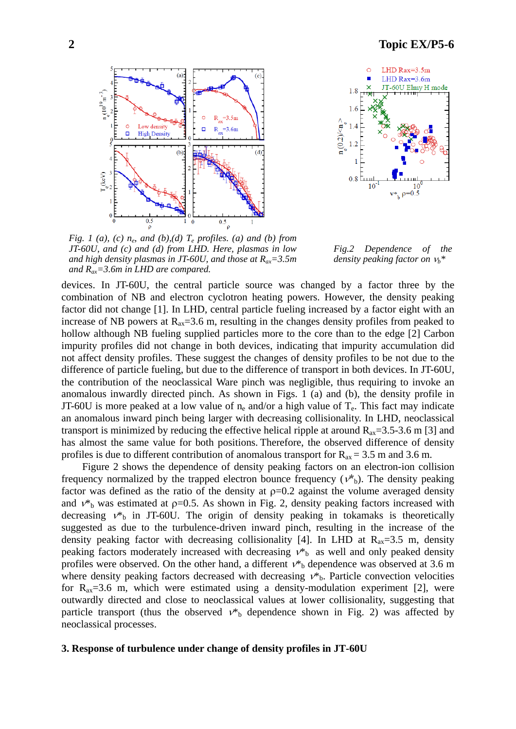# **2 Topic EX/P5-6**





*Fig. 1 (a), (c)*  $n_e$ *, and (b),(d)*  $T_e$  *profiles. (a) and (b) from JT-60U, and (c) and (d) from LHD. Here, plasmas in low and high density plasmas in JT-60U, and those at Rax=3.5m and Rax=3.6m in LHD are compared.* 

*Fig.2 Dependence of the density peaking factor on* ν*b\** 

devices. In JT-60U, the central particle source was changed by a factor three by the combination of NB and electron cyclotron heating powers. However, the density peaking factor did not change [1]. In LHD, central particle fueling increased by a factor eight with an increase of NB powers at  $R_{ax} = 3.6$  m, resulting in the changes density profiles from peaked to hollow although NB fueling supplied particles more to the core than to the edge [2] Carbon impurity profiles did not change in both devices, indicating that impurity accumulation did not affect density profiles. These suggest the changes of density profiles to be not due to the difference of particle fueling, but due to the difference of transport in both devices. In JT-60U, the contribution of the neoclassical Ware pinch was negligible, thus requiring to invoke an anomalous inwardly directed pinch. As shown in Figs. 1 (a) and (b), the density profile in JT-60U is more peaked at a low value of  $n_e$  and/or a high value of  $T_e$ . This fact may indicate an anomalous inward pinch being larger with decreasing collisionality. In LHD, neoclassical transport is minimized by reducing the effective helical ripple at around  $R_{ax} = 3.5-3.6$  m [3] and has almost the same value for both positions. Therefore, the observed difference of density profiles is due to different contribution of anomalous transport for  $R_{ax} = 3.5$  m and 3.6 m.

Figure 2 shows the dependence of density peaking factors on an electron-ion collision frequency normalized by the trapped electron bounce frequency ( $v^*$ <sub>b</sub>). The density peaking factor was defined as the ratio of the density at  $p=0.2$  against the volume averaged density and  $v^*$ <sub>b</sub> was estimated at  $p=0.5$ . As shown in Fig. 2, density peaking factors increased with decreasing  $v^*$  in JT-60U. The origin of density peaking in tokamaks is theoretically suggested as due to the turbulence-driven inward pinch, resulting in the increase of the density peaking factor with decreasing collisionality [4]. In LHD at  $R_{ax}=3.5$  m, density peaking factors moderately increased with decreasing  $v^*$  as well and only peaked density profiles were observed. On the other hand, a different  $v^*$ <sub>b</sub> dependence was observed at 3.6 m where density peaking factors decreased with decreasing  $v^*$ . Particle convection velocities for  $R_{ax} = 3.6$  m, which were estimated using a density-modulation experiment [2], were outwardly directed and close to neoclassical values at lower collisionality, suggesting that particle transport (thus the observed  $v^*$ <sub>b</sub> dependence shown in Fig. 2) was affected by neoclassical processes.

#### **3. Response of turbulence under change of density profiles in JT-60U**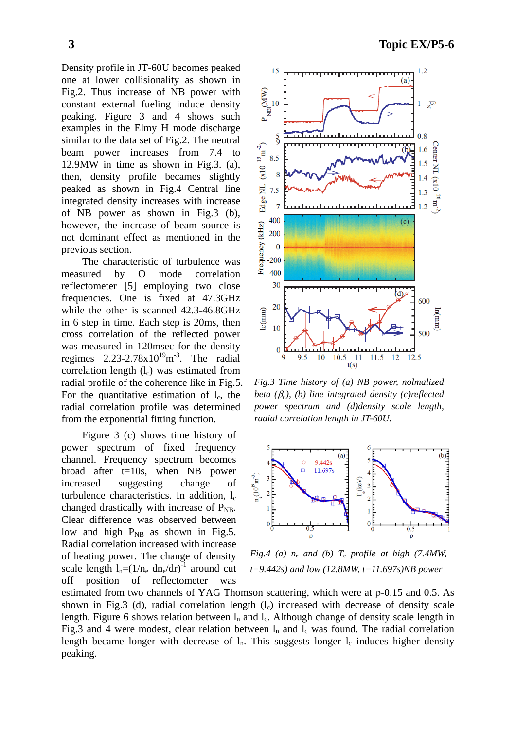Density profile in JT-60U becomes peaked one at lower collisionality as shown in Fig.2. Thus increase of NB power with constant external fueling induce density peaking. Figure 3 and 4 shows such examples in the Elmy H mode discharge similar to the data set of Fig.2. The neutral beam power increases from 7.4 to 12.9MW in time as shown in Fig.3. (a), then, density profile becames slightly peaked as shown in Fig.4 Central line integrated density increases with increase of NB power as shown in Fig.3 (b), however, the increase of beam source is not dominant effect as mentioned in the previous section.

 The characteristic of turbulence was measured by O mode correlation reflectometer [5] employing two close frequencies. One is fixed at 47.3GHz while the other is scanned 42.3-46.8GHz in 6 step in time. Each step is 20ms, then cross correlation of the reflected power was measured in 120msec for the density regimes  $2.23 - 2.78 \times 10^{19}$  m<sup>-3</sup>. The radial correlation length  $(l_c)$  was estimated from radial profile of the coherence like in Fig.5. For the quantitative estimation of  $l_c$ , the radial correlation profile was determined from the exponential fitting function.

Figure 3 (c) shows time history of power spectrum of fixed frequency channel. Frequency spectrum becomes broad after t=10s, when NB power increased suggesting change of turbulence characteristics. In addition,  $l_c$ changed drastically with increase of  $P_{\text{NB}}$ . Clear difference was observed between low and high  $P_{NB}$  as shown in Fig.5. Radial correlation increased with increase of heating power. The change of density scale length  $l_n=(1/n_e \text{ dn}_e/\text{dr})^{-1}$  around cut off position of reflectometer was

**3 Topic EX/P5-6** 



*Fig.3 Time history of (a) NB power, nolmalized beta (*β*n), (b) line integrated density (c)reflected power spectrum and (d)density scale length, radial correlation length in JT-60U.* 



*Fig.4 (a)*  $n_e$  *and (b)*  $T_e$  *profile at high (7.4MW, t=9.442s) and low (12.8MW, t=11.697s)NB power* 

estimated from two channels of YAG Thomson scattering, which were at ρ-0.15 and 0.5. As shown in Fig.3 (d), radial correlation length  $(l<sub>c</sub>)$  increased with decrease of density scale length. Figure 6 shows relation between  $l_n$  and  $l_c$ . Although change of density scale length in Fig.3 and 4 were modest, clear relation between  $l_n$  and  $l_c$  was found. The radial correlation length became longer with decrease of  $l_n$ . This suggests longer  $l_c$  induces higher density peaking.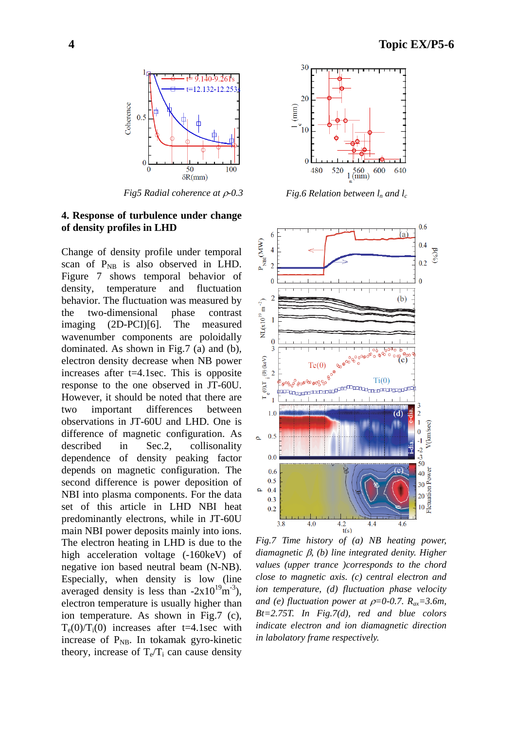

*Fig5 Radial coherence at ρ-0.3 Fig.6 Relation between l<sub>n</sub> and l<sub>c</sub>* 

### **4. Response of turbulence under change of density profiles in LHD**

Change of density profile under temporal scan of  $P_{NB}$  is also observed in LHD. Figure 7 shows temporal behavior of density, temperature and fluctuation behavior. The fluctuation was measured by the two-dimensional phase contrast imaging (2D-PCI)[6]. The measured wavenumber components are poloidally dominated. As shown in Fig.7 (a) and (b), electron density decrease when NB power increases after t=4.1sec. This is opposite response to the one observed in JT-60U. However, it should be noted that there are two important differences between observations in JT-60U and LHD. One is difference of magnetic configuration. As described in Sec.2, collisonality dependence of density peaking factor depends on magnetic configuration. The second difference is power deposition of NBI into plasma components. For the data set of this article in LHD NBI heat predominantly electrons, while in JT-60U main NBI power deposits mainly into ions. The electron heating in LHD is due to the high acceleration voltage (-160keV) of negative ion based neutral beam (N-NB). Especially, when density is low (line averaged density is less than  $-2x10^{19}$ m<sup>-3</sup>), electron temperature is usually higher than ion temperature. As shown in Fig.7 (c),  $T_e(0)/T_i(0)$  increases after t=4.1sec with increase of  $P_{NB}$ . In tokamak gyro-kinetic theory, increase of  $T_e/T_i$  can cause density





*Fig.7 Time history of (a) NB heating power, diamagnetic* β*, (b) line integrated denity. Higher values (upper trance )corresponds to the chord close to magnetic axis. (c) central electron and ion temperature, (d) fluctuation phase velocity and (e) fluctuation power at*  $\rho=0$ *-0.7.*  $R_{ax}=3.6m$ , *Bt=2.75T. In Fig.7(d), red and blue colors indicate electron and ion diamagnetic direction in labolatory frame respectively.*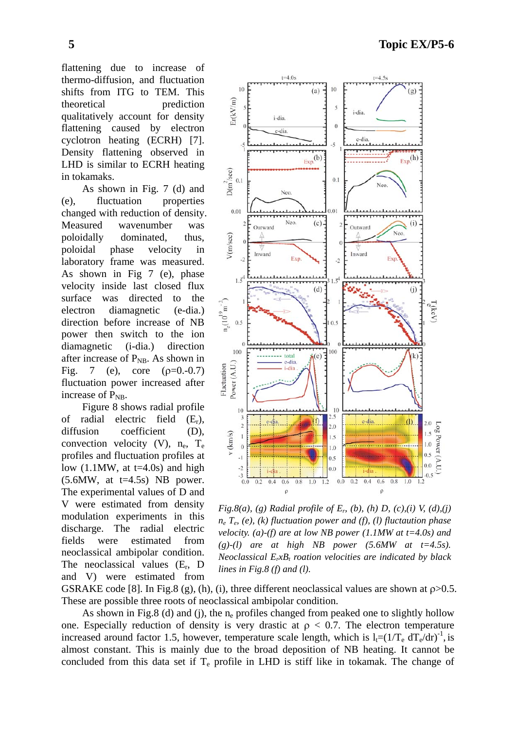flattening due to increase of thermo-diffusion, and fluctuation shifts from ITG to TEM. This theoretical prediction qualitatively account for density flattening caused by electron cyclotron heating (ECRH) [7]. Density flattening observed in LHD is similar to ECRH heating in tokamaks.

 As shown in Fig. 7 (d) and (e), fluctuation properties changed with reduction of density. Measured wavenumber was poloidally dominated, thus, poloidal phase velocity in laboratory frame was measured. As shown in Fig 7 (e), phase velocity inside last closed flux surface was directed to the electron diamagnetic (e-dia.) direction before increase of NB power then switch to the ion diamagnetic (i-dia.) direction after increase of  $P_{NB}$ . As shown in Fig. 7 (e), core  $(\rho=0.000, -0.7)$ fluctuation power increased after increase of  $P_{NR}$ .

 Figure 8 shows radial profile of radial electric field  $(E_r)$ , diffusion coefficient (D), convection velocity  $(V)$ ,  $n_e$ ,  $T_e$ profiles and fluctuation profiles at low  $(1.1$ MW, at t=4.0s) and high  $(5.6$ MW, at t=4.5s) NB power. The experimental values of D and V were estimated from density modulation experiments in this discharge. The radial electric fields were estimated from neoclassical ambipolar condition. The neoclassical values  $(E_r, D)$ and V) were estimated from



*Fig.8(a), (g) Radial profile of*  $E_p$  *(b), (h) D, (c),(i) V, (d),(j) ne Te, (e), (k) fluctuation power and (f), (l) fluctaution phase velocity. (a)-(f) are at low NB power (1.1MW at t=4.0s) and*   $(g)-(l)$  are at high NB power (5.6MW at  $t=4.5s$ ). *Neoclassical E<sub>r</sub>xB<sub>t</sub> roation velocities are indicated by black lines in Fig.8 (f) and (l).* 

GSRAKE code [8]. In Fig.8 (g), (h), (i), three different neoclassical values are shown at  $p>0.5$ . These are possible three roots of neoclassical ambipolar condition.

As shown in Fig.8 (d) and (j), the  $n_e$  profiles changed from peaked one to slightly hollow one. Especially reduction of density is very drastic at  $\rho < 0.7$ . The electron temperature increased around factor 1.5, however, temperature scale length, which is  $l_f=(1/T_e dT_e/dr)^{-1}$ , is almost constant. This is mainly due to the broad deposition of NB heating. It cannot be concluded from this data set if  $T_e$  profile in LHD is stiff like in tokamak. The change of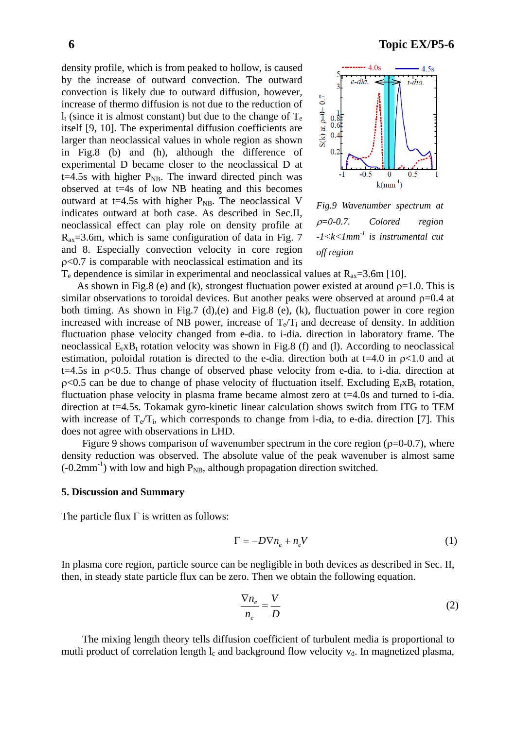density profile, which is from peaked to hollow, is caused by the increase of outward convection. The outward convection is likely due to outward diffusion, however,  $S(k)$  at  $p=0-0.7$ increase of thermo diffusion is not due to the reduction of  $l_t$  (since it is almost constant) but due to the change of  $T_e$ itself [9, 10]. The experimental diffusion coefficients are  $0.4$ larger than neoclassical values in whole region as shown  $0<sup>2</sup>$ in Fig.8 (b) and (h), although the difference of experimental D became closer to the neoclassical D at t=4.5s with higher  $P_{NB}$ . The inward directed pinch was observed at t=4s of low NB heating and this becomes

outward at t=4.5s with higher  $P_{NB}$ . The neoclassical V indicates outward at both case. As described in Sec.II, neoclassical effect can play role on density profile at  $R_{ax}$ =3.6m, which is same configuration of data in Fig. 7 and 8. Especially convection velocity in core region ρ<0.7 is comparable with neoclassical estimation and its  $\bf{0}$ 

 $k(mm^{-1})$ 

 $0.5$ 



-1

 $-0.5$ 

 $T_e$  dependence is similar in experimental and neoclassical values at  $R_{ax} = 3.6$ m [10].

As shown in Fig.8 (e) and (k), strongest fluctuation power existed at around  $p=1.0$ . This is similar observations to toroidal devices. But another peaks were observed at around  $p=0.4$  at both timing. As shown in Fig.7 (d),(e) and Fig.8 (e), (k), fluctuation power in core region increased with increase of NB power, increase of  $T_e/T_i$  and decrease of density. In addition fluctuation phase velocity changed from e-dia. to i-dia. direction in laboratory frame. The neoclassical  $E_rxB_t$  rotation velocity was shown in Fig.8 (f) and (l). According to neoclassical estimation, poloidal rotation is directed to the e-dia. direction both at  $t=4.0$  in  $\rho<1.0$  and at  $t=4.5s$  in  $\rho<0.5$ . Thus change of observed phase velocity from e-dia. to i-dia. direction at  $p<0.5$  can be due to change of phase velocity of fluctuation itself. Excluding  $E_rxB_t$  rotation, fluctuation phase velocity in plasma frame became almost zero at t=4.0s and turned to i-dia. direction at t=4.5s. Tokamak gyro-kinetic linear calculation shows switch from ITG to TEM with increase of  $T_e/T_i$ , which corresponds to change from i-dia, to e-dia. direction [7]. This does not agree with observations in LHD.

Figure 9 shows comparison of wavenumber spectrum in the core region ( $\rho$ =0-0.7), where density reduction was observed. The absolute value of the peak wavenuber is almost same  $(-0.2$ mm<sup>-1</sup>) with low and high P<sub>NB</sub>, although propagation direction switched.

#### **5. Discussion and Summary**

The particle flux  $\Gamma$  is written as follows:

$$
\Gamma = -D\nabla n_e + n_e V \tag{1}
$$

In plasma core region, particle source can be negligible in both devices as described in Sec. II, then, in steady state particle flux can be zero. Then we obtain the following equation.

$$
\frac{\nabla n_e}{n_e} = \frac{V}{D} \tag{2}
$$

The mixing length theory tells diffusion coefficient of turbulent media is proportional to mutli product of correlation length  $l_c$  and background flow velocity  $v_d$ . In magnetized plasma,

$$
6 Topic EX/P5-6
$$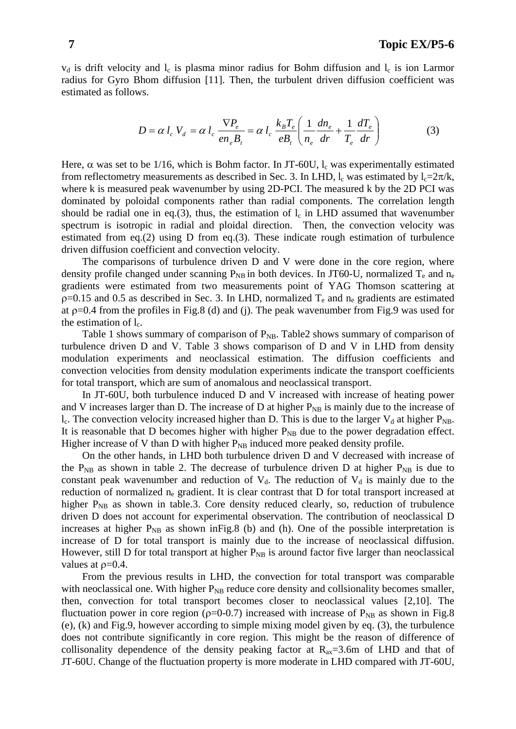$v_d$  is drift velocity and  $l_c$  is plasma minor radius for Bohm diffusion and  $l_c$  is ion Larmor radius for Gyro Bhom diffusion [11]. Then, the turbulent driven diffusion coefficient was estimated as follows.

$$
D = \alpha l_c V_d = \alpha l_c \frac{\nabla P_e}{en_e B_t} = \alpha l_c \frac{k_B T_e}{e B_t} \left( \frac{1}{n_e} \frac{dn_e}{dr} + \frac{1}{T_e} \frac{dT_e}{dr} \right)
$$
(3)

Here,  $\alpha$  was set to be 1/16, which is Bohm factor. In JT-60U,  $l_c$  was experimentally estimated from reflectometry measurements as described in Sec. 3. In LHD,  $l_c$  was estimated by  $l_c=2\pi/k$ , where k is measured peak wavenumber by using 2D-PCI. The measured k by the 2D PCI was dominated by poloidal components rather than radial components. The correlation length should be radial one in eq.(3), thus, the estimation of  $l_c$  in LHD assumed that wavenumber spectrum is isotropic in radial and ploidal direction. Then, the convection velocity was estimated from eq.(2) using D from eq.(3). These indicate rough estimation of turbulence driven diffusion coefficient and convection velocity.

The comparisons of turbulence driven D and V were done in the core region, where density profile changed under scanning  $P_{NB}$  in both devices. In JT60-U, normalized  $T_e$  and  $n_e$ gradients were estimated from two measurements point of YAG Thomson scattering at  $p=0.15$  and 0.5 as described in Sec. 3. In LHD, normalized  $T_e$  and  $n_e$  gradients are estimated at  $p=0.4$  from the profiles in Fig.8 (d) and (j). The peak wavenumber from Fig.9 was used for the estimation of  $l_c$ .

Table 1 shows summary of comparison of  $P_{NB}$ . Table 2 shows summary of comparison of turbulence driven D and V. Table 3 shows comparison of D and V in LHD from density modulation experiments and neoclassical estimation. The diffusion coefficients and convection velocities from density modulation experiments indicate the transport coefficients for total transport, which are sum of anomalous and neoclassical transport.

In JT-60U, both turbulence induced D and V increased with increase of heating power and V increases larger than D. The increase of D at higher  $P_{NB}$  is mainly due to the increase of  $l_c$ . The convection velocity increased higher than D. This is due to the larger  $V_d$  at higher  $P_{NB}$ . It is reasonable that D becomes higher with higher  $P_{NB}$  due to the power degradation effect. Higher increase of V than D with higher  $P_{NB}$  induced more peaked density profile.

On the other hands, in LHD both turbulence driven D and V decreased with increase of the  $P_{NB}$  as shown in table 2. The decrease of turbulence driven D at higher  $P_{NB}$  is due to constant peak wavenumber and reduction of  $V_d$ . The reduction of  $V_d$  is mainly due to the reduction of normalized  $n_e$  gradient. It is clear contrast that D for total transport increased at higher  $P_{NB}$  as shown in table.3. Core density reduced clearly, so, reduction of trubulence driven D does not account for experimental observation. The contribution of neoclassical D increases at higher  $P_{NB}$  as shown in Fig.8 (b) and (h). One of the possible interpretation is increase of D for total transport is mainly due to the increase of neoclassical diffusion. However, still D for total transport at higher  $P_{NB}$  is around factor five larger than neoclassical values at  $\rho$ =0.4.

From the previous results in LHD, the convection for total transport was comparable with neoclassical one. With higher  $P_{NB}$  reduce core density and collsionality becomes smaller, then, convection for total transport becomes closer to neoclassical values [2,10]. The fluctuation power in core region ( $\rho$ =0-0.7) increased with increase of P<sub>NB</sub> as shown in Fig.8 (e), (k) and Fig.9, however according to simple mixing model given by eq. (3), the turbulence does not contribute significantly in core region. This might be the reason of difference of collisonality dependence of the density peaking factor at  $R_{ax}=3.6$  m of LHD and that of JT-60U. Change of the fluctuation property is more moderate in LHD compared with JT-60U,